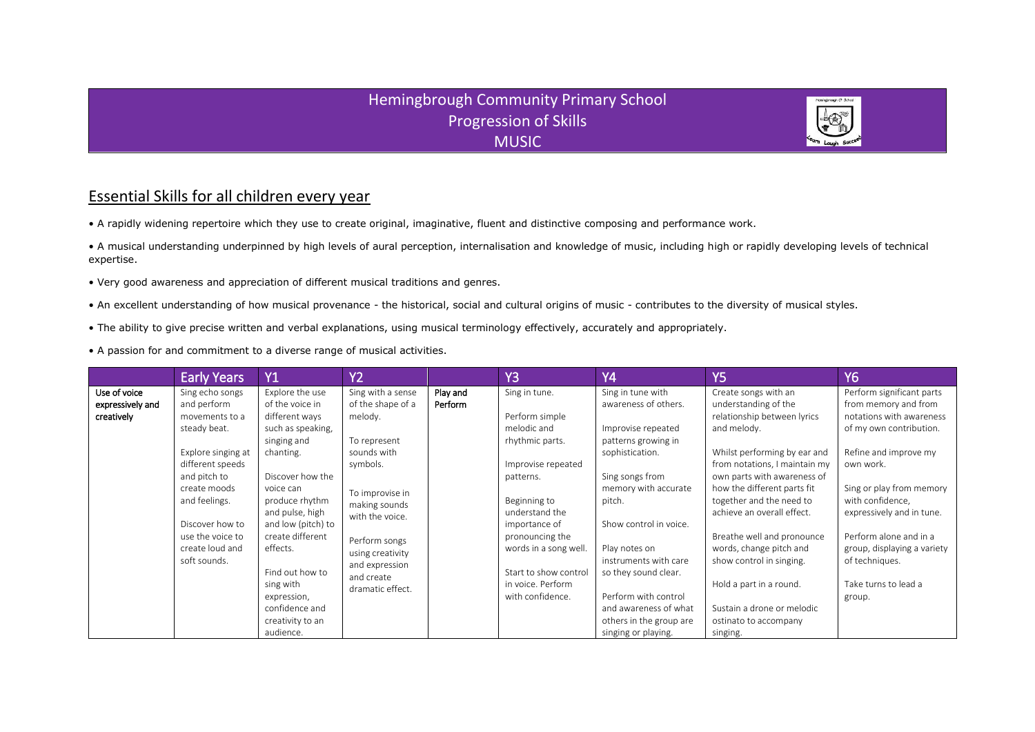## Hemingbrough Community Primary School Progression of Skills MUSIC

## Essential Skills for all children every year

• A rapidly widening repertoire which they use to create original, imaginative, fluent and distinctive composing and performance work.

• A musical understanding underpinned by high levels of aural perception, internalisation and knowledge of music, including high or rapidly developing levels of technical expertise.

- Very good awareness and appreciation of different musical traditions and genres.
- An excellent understanding of how musical provenance the historical, social and cultural origins of music contributes to the diversity of musical styles.
- The ability to give precise written and verbal explanations, using musical terminology effectively, accurately and appropriately.
- A passion for and commitment to a diverse range of musical activities.

|                                                | <b>Early Years</b>                                                                                                                                                | <b>Y1</b>                                                                                                                                                                                                                  | $\overline{YZ}$                                                                                                                                                         |                     | Y <sub>3</sub>                                                                                                                                                                                   | <b>Y4</b>                                                                                                                                                                                                                                    | <b>Y5</b>                                                                                                                                                                                                                                                                                                                                                    | <b>Y6</b>                                                                                                                                                                                                                    |
|------------------------------------------------|-------------------------------------------------------------------------------------------------------------------------------------------------------------------|----------------------------------------------------------------------------------------------------------------------------------------------------------------------------------------------------------------------------|-------------------------------------------------------------------------------------------------------------------------------------------------------------------------|---------------------|--------------------------------------------------------------------------------------------------------------------------------------------------------------------------------------------------|----------------------------------------------------------------------------------------------------------------------------------------------------------------------------------------------------------------------------------------------|--------------------------------------------------------------------------------------------------------------------------------------------------------------------------------------------------------------------------------------------------------------------------------------------------------------------------------------------------------------|------------------------------------------------------------------------------------------------------------------------------------------------------------------------------------------------------------------------------|
| Use of voice<br>expressively and<br>creatively | Sing echo songs<br>and perform<br>movements to a<br>steady beat.                                                                                                  | Explore the use<br>of the voice in<br>different ways<br>such as speaking,<br>singing and                                                                                                                                   | Sing with a sense<br>of the shape of a<br>melody.<br>To represent                                                                                                       | Play and<br>Perform | Sing in tune.<br>Perform simple<br>melodic and<br>rhythmic parts.                                                                                                                                | Sing in tune with<br>awareness of others.<br>Improvise repeated<br>patterns growing in                                                                                                                                                       | Create songs with an<br>understanding of the<br>relationship between lyrics<br>and melody.                                                                                                                                                                                                                                                                   | Perform significant parts<br>from memory and from<br>notations with awareness<br>of my own contribution.                                                                                                                     |
|                                                | Explore singing at<br>different speeds<br>and pitch to<br>create moods<br>and feelings.<br>Discover how to<br>use the voice to<br>create loud and<br>soft sounds. | chanting.<br>Discover how the<br>voice can<br>produce rhythm<br>and pulse, high<br>and low (pitch) to<br>create different<br>effects.<br>Find out how to<br>sing with<br>expression,<br>confidence and<br>creativity to an | sounds with<br>symbols.<br>To improvise in<br>making sounds<br>with the voice.<br>Perform songs<br>using creativity<br>and expression<br>and create<br>dramatic effect. |                     | Improvise repeated<br>patterns.<br>Beginning to<br>understand the<br>importance of<br>pronouncing the<br>words in a song well.<br>Start to show control<br>in voice. Perform<br>with confidence. | sophistication.<br>Sing songs from<br>memory with accurate<br>pitch.<br>Show control in voice.<br>Play notes on<br>instruments with care<br>so they sound clear.<br>Perform with control<br>and awareness of what<br>others in the group are | Whilst performing by ear and<br>from notations, I maintain my<br>own parts with awareness of<br>how the different parts fit<br>together and the need to<br>achieve an overall effect.<br>Breathe well and pronounce<br>words, change pitch and<br>show control in singing.<br>Hold a part in a round.<br>Sustain a drone or melodic<br>ostinato to accompany | Refine and improve my<br>own work.<br>Sing or play from memory<br>with confidence,<br>expressively and in tune.<br>Perform alone and in a<br>group, displaying a variety<br>of techniques.<br>Take turns to lead a<br>group. |
|                                                |                                                                                                                                                                   | audience.                                                                                                                                                                                                                  |                                                                                                                                                                         |                     |                                                                                                                                                                                                  | singing or playing.                                                                                                                                                                                                                          | singing.                                                                                                                                                                                                                                                                                                                                                     |                                                                                                                                                                                                                              |

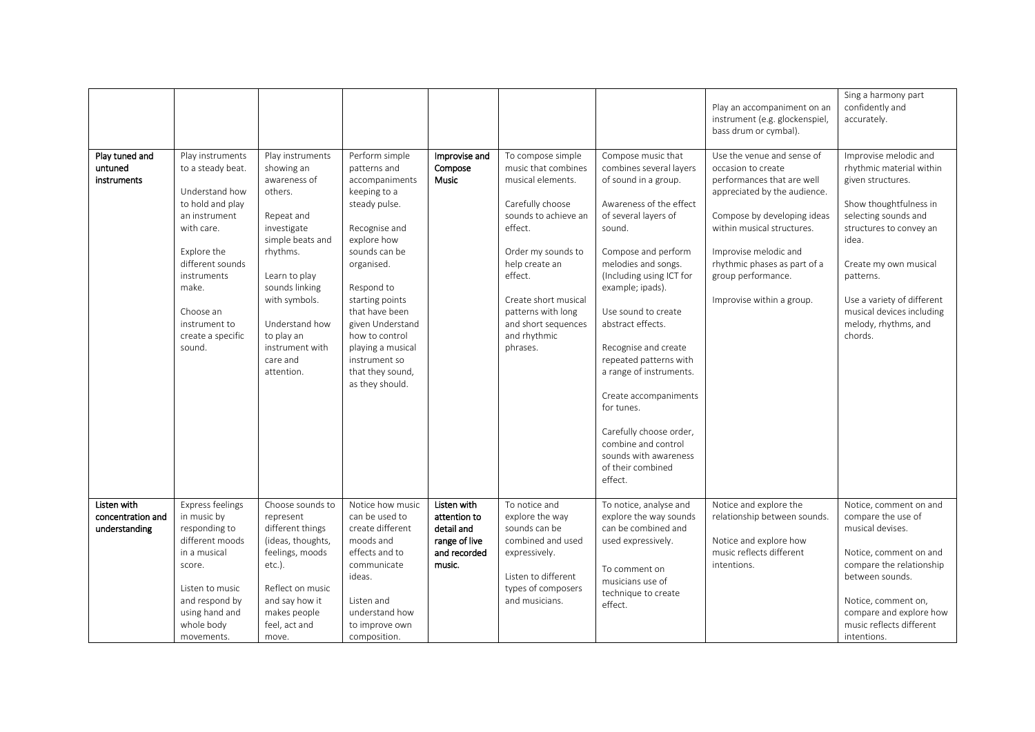|                                                   |                                                                                                                                                                                                                                    |                                                                                                                                                                                                                                                         |                                                                                                                                                                                                                                                                                                                        |                                                                                      |                                                                                                                                                                                                                                                                          |                                                                                                                                                                                                                                                                                                                                                                                                                                                                                                             | Play an accompaniment on an<br>instrument (e.g. glockenspiel,<br>bass drum or cymbal).                                                                                                                                                                                                  | Sing a harmony part<br>confidently and<br>accurately.                                                                                                                                                                                                                                            |
|---------------------------------------------------|------------------------------------------------------------------------------------------------------------------------------------------------------------------------------------------------------------------------------------|---------------------------------------------------------------------------------------------------------------------------------------------------------------------------------------------------------------------------------------------------------|------------------------------------------------------------------------------------------------------------------------------------------------------------------------------------------------------------------------------------------------------------------------------------------------------------------------|--------------------------------------------------------------------------------------|--------------------------------------------------------------------------------------------------------------------------------------------------------------------------------------------------------------------------------------------------------------------------|-------------------------------------------------------------------------------------------------------------------------------------------------------------------------------------------------------------------------------------------------------------------------------------------------------------------------------------------------------------------------------------------------------------------------------------------------------------------------------------------------------------|-----------------------------------------------------------------------------------------------------------------------------------------------------------------------------------------------------------------------------------------------------------------------------------------|--------------------------------------------------------------------------------------------------------------------------------------------------------------------------------------------------------------------------------------------------------------------------------------------------|
| Play tuned and<br>untuned<br>instruments          | Play instruments<br>to a steady beat.<br>Understand how<br>to hold and play<br>an instrument<br>with care.<br>Explore the<br>different sounds<br>instruments<br>make.<br>Choose an<br>instrument to<br>create a specific<br>sound. | Play instruments<br>showing an<br>awareness of<br>others.<br>Repeat and<br>investigate<br>simple beats and<br>rhythms.<br>Learn to play<br>sounds linking<br>with symbols.<br>Understand how<br>to play an<br>instrument with<br>care and<br>attention. | Perform simple<br>patterns and<br>accompaniments<br>keeping to a<br>steady pulse.<br>Recognise and<br>explore how<br>sounds can be<br>organised.<br>Respond to<br>starting points<br>that have been<br>given Understand<br>how to control<br>playing a musical<br>instrument so<br>that they sound,<br>as they should. | Improvise and<br>Compose<br><b>Music</b>                                             | To compose simple<br>music that combines<br>musical elements.<br>Carefully choose<br>sounds to achieve an<br>effect.<br>Order my sounds to<br>help create an<br>effect.<br>Create short musical<br>patterns with long<br>and short sequences<br>and rhythmic<br>phrases. | Compose music that<br>combines several layers<br>of sound in a group.<br>Awareness of the effect<br>of several layers of<br>sound.<br>Compose and perform<br>melodies and songs.<br>(Including using ICT for<br>example; ipads).<br>Use sound to create<br>abstract effects.<br>Recognise and create<br>repeated patterns with<br>a range of instruments.<br>Create accompaniments<br>for tunes.<br>Carefully choose order,<br>combine and control<br>sounds with awareness<br>of their combined<br>effect. | Use the venue and sense of<br>occasion to create<br>performances that are well<br>appreciated by the audience.<br>Compose by developing ideas<br>within musical structures.<br>Improvise melodic and<br>rhythmic phases as part of a<br>group performance.<br>Improvise within a group. | Improvise melodic and<br>rhythmic material within<br>given structures.<br>Show thoughtfulness in<br>selecting sounds and<br>structures to convey an<br>idea.<br>Create my own musical<br>patterns.<br>Use a variety of different<br>musical devices including<br>melody, rhythms, and<br>chords. |
| Listen with<br>concentration and<br>understanding | Express feelings<br>in music by<br>responding to<br>different moods<br>in a musical<br>score.<br>Listen to music<br>and respond by<br>using hand and<br>whole body<br>movements.                                                   | Choose sounds to<br>represent<br>different things<br>(ideas, thoughts,<br>feelings, moods<br>$etc.$ ).<br>Reflect on music<br>and say how it<br>makes people<br>feel, act and<br>move.                                                                  | Notice how music<br>can be used to<br>create different<br>moods and<br>effects and to<br>communicate<br>ideas.<br>Listen and<br>understand how<br>to improve own<br>composition.                                                                                                                                       | Listen with<br>attention to<br>detail and<br>range of live<br>and recorded<br>music. | To notice and<br>explore the way<br>sounds can be<br>combined and used<br>expressively.<br>Listen to different<br>types of composers<br>and musicians.                                                                                                                   | To notice, analyse and<br>explore the way sounds<br>can be combined and<br>used expressively.<br>To comment on<br>musicians use of<br>technique to create<br>effect.                                                                                                                                                                                                                                                                                                                                        | Notice and explore the<br>relationship between sounds.<br>Notice and explore how<br>music reflects different<br>intentions.                                                                                                                                                             | Notice, comment on and<br>compare the use of<br>musical devises.<br>Notice, comment on and<br>compare the relationship<br>between sounds.<br>Notice, comment on,<br>compare and explore how<br>music reflects different<br>intentions.                                                           |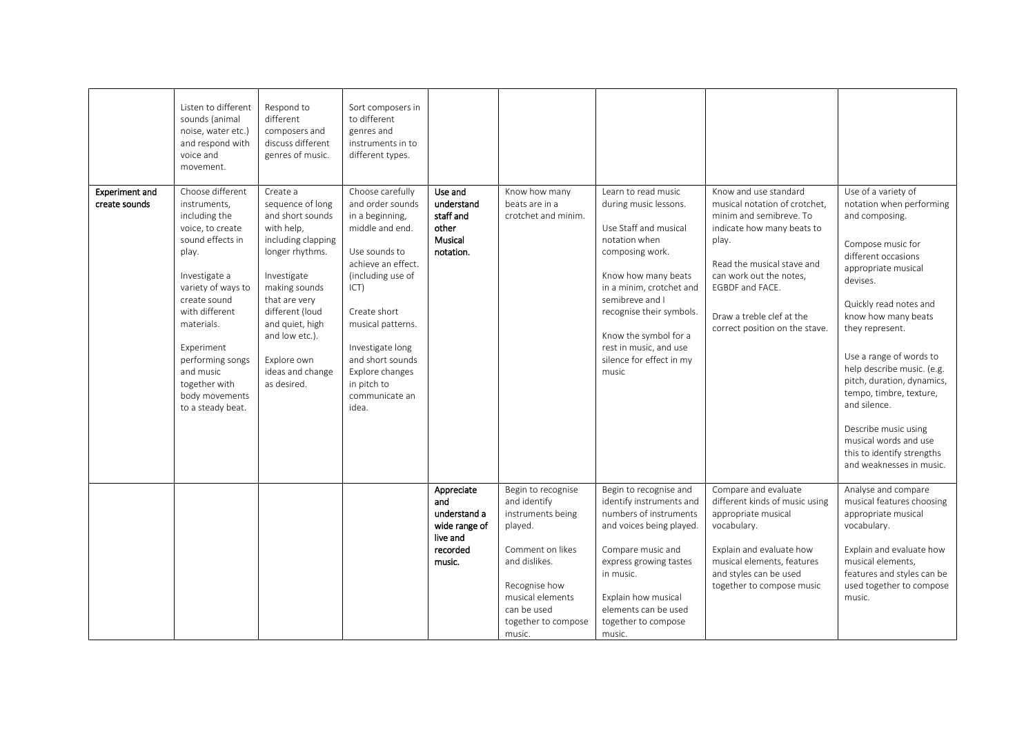| <b>Experiment and</b><br>create sounds | Listen to different<br>sounds (animal<br>noise, water etc.)<br>and respond with<br>voice and<br>movement.<br>Choose different<br>instruments,<br>including the<br>voice, to create<br>sound effects in<br>play.<br>Investigate a<br>variety of ways to<br>create sound<br>with different<br>materials. | Respond to<br>different<br>composers and<br>discuss different<br>genres of music.<br>Create a<br>sequence of long<br>and short sounds<br>with help,<br>including clapping<br>longer rhythms.<br>Investigate<br>making sounds<br>that are very<br>different (loud<br>and quiet, high | Sort composers in<br>to different<br>genres and<br>instruments in to<br>different types.<br>Choose carefully<br>and order sounds<br>in a beginning,<br>middle and end.<br>Use sounds to<br>achieve an effect.<br>(including use of<br>ICT)<br>Create short<br>musical patterns. | Use and<br>understand<br>staff and<br>other<br>Musical<br>notation.                  | Know how many<br>beats are in a<br>crotchet and minim.                                                                                                                                       | Learn to read music<br>during music lessons.<br>Use Staff and musical<br>notation when<br>composing work.<br>Know how many beats<br>in a minim, crotchet and<br>semibreve and I<br>recognise their symbols.                                          | Know and use standard<br>musical notation of crotchet,<br>minim and semibreve. To<br>indicate how many beats to<br>play.<br>Read the musical stave and<br>can work out the notes,<br>EGBDF and FACE.<br>Draw a treble clef at the<br>correct position on the stave. | Use of a variety of<br>notation when performing<br>and composing.<br>Compose music for<br>different occasions<br>appropriate musical<br>devises.<br>Quickly read notes and<br>know how many beats<br>they represent.                      |
|----------------------------------------|--------------------------------------------------------------------------------------------------------------------------------------------------------------------------------------------------------------------------------------------------------------------------------------------------------|-------------------------------------------------------------------------------------------------------------------------------------------------------------------------------------------------------------------------------------------------------------------------------------|---------------------------------------------------------------------------------------------------------------------------------------------------------------------------------------------------------------------------------------------------------------------------------|--------------------------------------------------------------------------------------|----------------------------------------------------------------------------------------------------------------------------------------------------------------------------------------------|------------------------------------------------------------------------------------------------------------------------------------------------------------------------------------------------------------------------------------------------------|---------------------------------------------------------------------------------------------------------------------------------------------------------------------------------------------------------------------------------------------------------------------|-------------------------------------------------------------------------------------------------------------------------------------------------------------------------------------------------------------------------------------------|
|                                        | Experiment<br>performing songs<br>and music<br>together with<br>body movements<br>to a steady beat.                                                                                                                                                                                                    | and low etc.).<br>Explore own<br>ideas and change<br>as desired.                                                                                                                                                                                                                    | Investigate long<br>and short sounds<br>Explore changes<br>in pitch to<br>communicate an<br>idea.                                                                                                                                                                               |                                                                                      |                                                                                                                                                                                              | Know the symbol for a<br>rest in music, and use<br>silence for effect in my<br>music                                                                                                                                                                 |                                                                                                                                                                                                                                                                     | Use a range of words to<br>help describe music. (e.g.<br>pitch, duration, dynamics,<br>tempo, timbre, texture,<br>and silence.<br>Describe music using<br>musical words and use<br>this to identify strengths<br>and weaknesses in music. |
|                                        |                                                                                                                                                                                                                                                                                                        |                                                                                                                                                                                                                                                                                     |                                                                                                                                                                                                                                                                                 | Appreciate<br>and<br>understand a<br>wide range of<br>live and<br>recorded<br>music. | Begin to recognise<br>and identify<br>instruments being<br>played.<br>Comment on likes<br>and dislikes.<br>Recognise how<br>musical elements<br>can be used<br>together to compose<br>music. | Begin to recognise and<br>identify instruments and<br>numbers of instruments<br>and voices being played.<br>Compare music and<br>express growing tastes<br>in music.<br>Explain how musical<br>elements can be used<br>together to compose<br>music. | Compare and evaluate<br>different kinds of music using<br>appropriate musical<br>vocabulary.<br>Explain and evaluate how<br>musical elements, features<br>and styles can be used<br>together to compose music                                                       | Analyse and compare<br>musical features choosing<br>appropriate musical<br>vocabulary.<br>Explain and evaluate how<br>musical elements,<br>features and styles can be<br>used together to compose<br>music.                               |